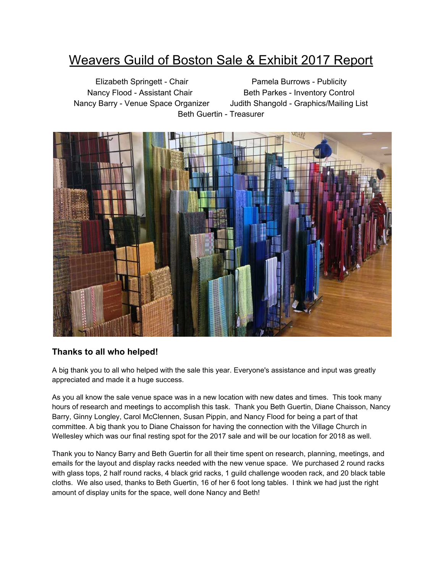# Weavers Guild of Boston Sale & Exhibit 2017 Report

Elizabeth Springett - Chair Pamela Burrows - Publicity Nancy Flood - Assistant Chair Beth Parkes - Inventory Control Nancy Barry - Venue Space Organizer Judith Shangold - Graphics/Mailing List Beth Guertin - Treasurer



## **Thanks to all who helped!**

A big thank you to all who helped with the sale this year. Everyone's assistance and input was greatly appreciated and made it a huge success.

As you all know the sale venue space was in a new location with new dates and times. This took many hours of research and meetings to accomplish this task. Thank you Beth Guertin, Diane Chaisson, Nancy Barry, Ginny Longley, Carol McClennen, Susan Pippin, and Nancy Flood for being a part of that committee. A big thank you to Diane Chaisson for having the connection with the Village Church in Wellesley which was our final resting spot for the 2017 sale and will be our location for 2018 as well.

Thank you to Nancy Barry and Beth Guertin for all their time spent on research, planning, meetings, and emails for the layout and display racks needed with the new venue space. We purchased 2 round racks with glass tops, 2 half round racks, 4 black grid racks, 1 guild challenge wooden rack, and 20 black table cloths. We also used, thanks to Beth Guertin, 16 of her 6 foot long tables. I think we had just the right amount of display units for the space, well done Nancy and Beth!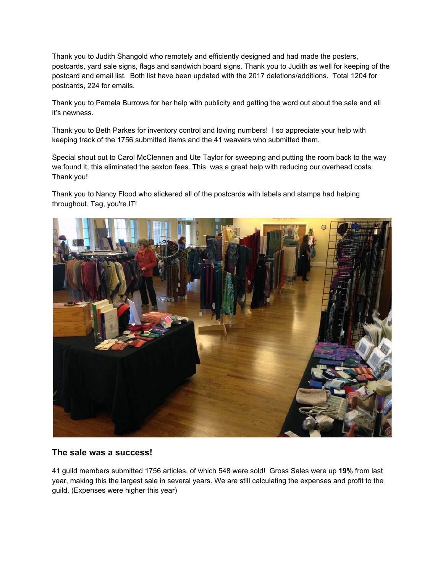Thank you to Judith Shangold who remotely and efficiently designed and had made the posters, postcards, yard sale signs, flags and sandwich board signs. Thank you to Judith as well for keeping of the postcard and email list. Both list have been updated with the 2017 deletions/additions. Total 1204 for postcards, 224 for emails.

Thank you to Pamela Burrows for her help with publicity and getting the word out about the sale and all it's newness.

Thank you to Beth Parkes for inventory control and loving numbers! I so appreciate your help with keeping track of the 1756 submitted items and the 41 weavers who submitted them.

Special shout out to Carol McClennen and Ute Taylor for sweeping and putting the room back to the way we found it, this eliminated the sexton fees. This was a great help with reducing our overhead costs. Thank you!

Thank you to Nancy Flood who stickered all of the postcards with labels and stamps had helping throughout. Tag, you're IT!



#### **The sale was a success!**

41 guild members submitted 1756 articles, of which 548 were sold! Gross Sales were up **19%** from last year, making this the largest sale in several years. We are still calculating the expenses and profit to the guild. (Expenses were higher this year)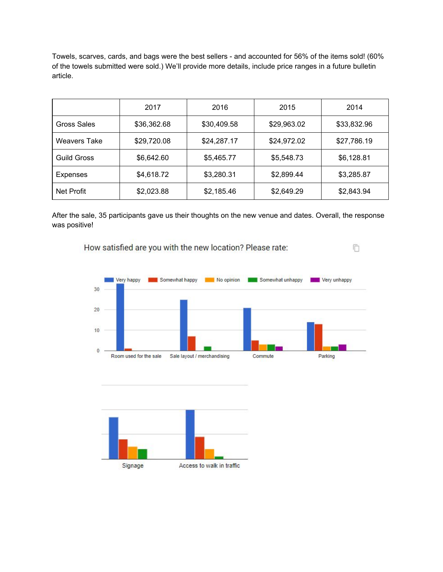Towels, scarves, cards, and bags were the best sellers - and accounted for 56% of the items sold! (60% of the towels submitted were sold.) We'll provide more details, include price ranges in a future bulletin article.

|                     | 2017        | 2016        | 2015        | 2014        |
|---------------------|-------------|-------------|-------------|-------------|
| <b>Gross Sales</b>  | \$36,362.68 | \$30,409.58 | \$29,963.02 | \$33,832.96 |
| <b>Weavers Take</b> | \$29,720.08 | \$24,287.17 | \$24,972.02 | \$27,786.19 |
| <b>Guild Gross</b>  | \$6,642.60  | \$5,465.77  | \$5,548.73  | \$6,128.81  |
| Expenses            | \$4,618.72  | \$3,280.31  | \$2,899.44  | \$3,285.87  |
| Net Profit          | \$2,023.88  | \$2,185.46  | \$2,649.29  | \$2,843.94  |

After the sale, 35 participants gave us their thoughts on the new venue and dates. Overall, the response was positive!

向

How satisfied are you with the new location? Please rate:

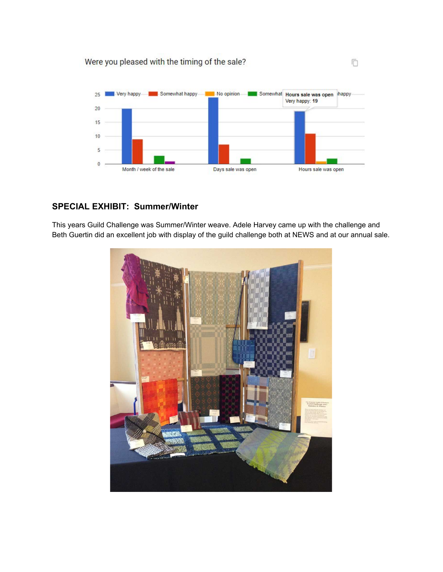Were you pleased with the timing of the sale?



O

## **SPECIAL EXHIBIT: Summer/Winter**

This years Guild Challenge was Summer/Winter weave. Adele Harvey came up with the challenge and Beth Guertin did an excellent job with display of the guild challenge both at NEWS and at our annual sale.

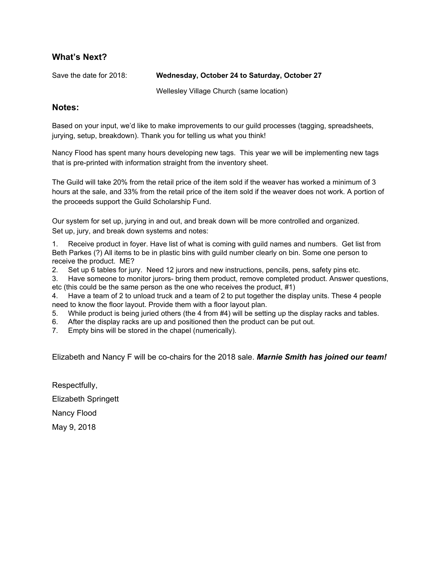## **What's Next?**

#### Save the date for 2018: **Wednesday, October 24 to Saturday, October 27**

Wellesley Village Church (same location)

#### **Notes:**

Based on your input, we'd like to make improvements to our guild processes (tagging, spreadsheets, jurying, setup, breakdown). Thank you for telling us what you think!

Nancy Flood has spent many hours developing new tags. This year we will be implementing new tags that is pre-printed with information straight from the inventory sheet.

The Guild will take 20% from the retail price of the item sold if the weaver has worked a minimum of 3 hours at the sale, and 33% from the retail price of the item sold if the weaver does not work. A portion of the proceeds support the Guild Scholarship Fund.

Our system for set up, jurying in and out, and break down will be more controlled and organized. Set up, jury, and break down systems and notes:

1. Receive product in foyer. Have list of what is coming with guild names and numbers. Get list from Beth Parkes (?) All items to be in plastic bins with guild number clearly on bin. Some one person to receive the product. ME?

2. Set up 6 tables for jury. Need 12 jurors and new instructions, pencils, pens, safety pins etc.

3. Have someone to monitor jurors- bring them product, remove completed product. Answer questions, etc (this could be the same person as the one who receives the product, #1)

4. Have a team of 2 to unload truck and a team of 2 to put together the display units. These 4 people need to know the floor layout. Provide them with a floor layout plan.

5. While product is being juried others (the 4 from #4) will be setting up the display racks and tables.

- 6. After the display racks are up and positioned then the product can be put out.
- 7. Empty bins will be stored in the chapel (numerically).

Elizabeth and Nancy F will be co-chairs for the 2018 sale. *Marnie Smith has joined our team!*

Respectfully, Elizabeth Springett Nancy Flood May 9, 2018